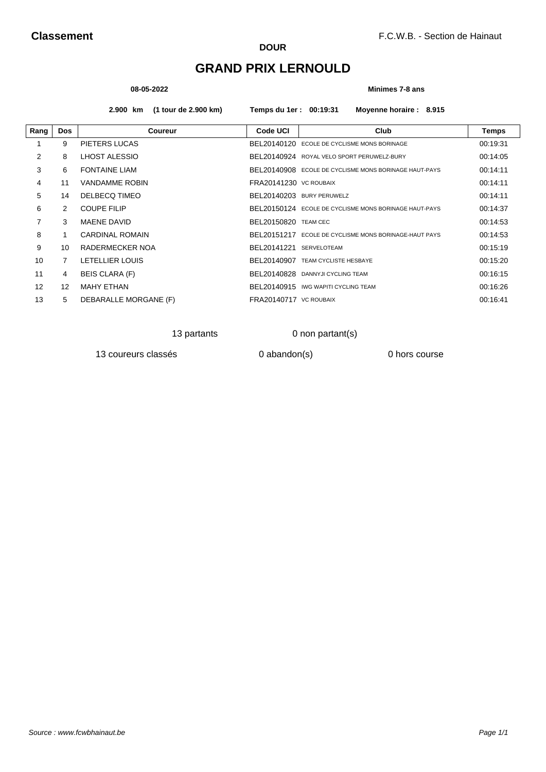# **GRAND PRIX LERNOULD**

### **08-05-2022 Minimes 7-8 ans**

**2.900 km (1 tour de 2.900 km) Temps du 1er : 00:19:31 Moyenne horaire : 8.915**

| Rang | <b>Dos</b>        | <b>Coureur</b>         | <b>Code UCI</b>             | Club                                                  | <b>Temps</b> |
|------|-------------------|------------------------|-----------------------------|-------------------------------------------------------|--------------|
|      | 9                 | PIETERS LUCAS          |                             | BEL20140120 ECOLE DE CYCLISME MONS BORINAGE           | 00:19:31     |
| 2    | 8                 | LHOST ALESSIO          |                             | BEL20140924 ROYAL VELO SPORT PERUWELZ-BURY            | 00:14:05     |
| 3    | 6                 | <b>FONTAINE LIAM</b>   |                             | BEL20140908 ECOLE DE CYCLISME MONS BORINAGE HAUT-PAYS | 00:14:11     |
| 4    | 11                | <b>VANDAMME ROBIN</b>  | FRA20141230 VC ROUBAIX      |                                                       | 00:14:11     |
| 5    | 14                | DELBECQ TIMEO          |                             | BEL20140203 BURY PERUWELZ                             | 00:14:11     |
| 6    | $\mathcal{P}$     | <b>COUPE FILIP</b>     |                             | BEL20150124 ECOLE DE CYCLISME MONS BORINAGE HAUT-PAYS | 00:14:37     |
| 7    | 3                 | <b>MAENE DAVID</b>     | <b>BEL20150820 TEAM CEC</b> |                                                       | 00:14:53     |
| 8    |                   | <b>CARDINAL ROMAIN</b> |                             | BEL20151217 ECOLE DE CYCLISME MONS BORINAGE-HAUT PAYS | 00:14:53     |
| 9    | 10                | RADERMECKER NOA        | BEL20141221 SERVELOTEAM     |                                                       | 00:15:19     |
| 10   | 7                 | LETELLIER LOUIS        |                             | BEL20140907 TEAM CYCLISTE HESBAYE                     | 00:15:20     |
| 11   | 4                 | <b>BEIS CLARA (F)</b>  |                             | BEL20140828 DANNYJI CYCLING TEAM                      | 00:16:15     |
| 12   | $12 \overline{ }$ | <b>MAHY ETHAN</b>      |                             | BEL20140915 IWG WAPITI CYCLING TEAM                   | 00:16:26     |
| 13   | 5                 | DEBARALLE MORGANE (F)  | FRA20140717 VC ROUBAIX      |                                                       | 00.16.41     |

13 partants 0 non partant(s)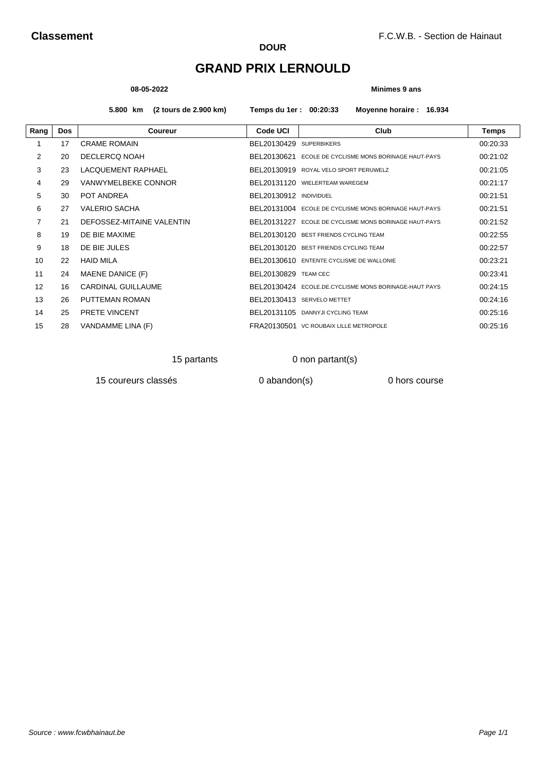# **GRAND PRIX LERNOULD**

#### **08-05-2022 Minimes 9 ans**

**5.800 km (2 tours de 2.900 km) Temps du 1er : 00:20:33 Moyenne horaire : 16.934**

| <b>Dos</b> | <b>Coureur</b>            | <b>Code UCI</b> | Club                                      | <b>Temps</b>                                                                                                                                                                                                                                                                                                                                                                                                                                                                                                 |
|------------|---------------------------|-----------------|-------------------------------------------|--------------------------------------------------------------------------------------------------------------------------------------------------------------------------------------------------------------------------------------------------------------------------------------------------------------------------------------------------------------------------------------------------------------------------------------------------------------------------------------------------------------|
| 17         | <b>CRAME ROMAIN</b>       |                 |                                           | 00:20:33                                                                                                                                                                                                                                                                                                                                                                                                                                                                                                     |
| 20         | DECLERCQ NOAH             | BEL20130621     | ECOLE DE CYCLISME MONS BORINAGE HAUT-PAYS | 00:21:02                                                                                                                                                                                                                                                                                                                                                                                                                                                                                                     |
| 23         | LACQUEMENT RAPHAEL        |                 | ROYAL VELO SPORT PERUWELZ                 | 00:21:05                                                                                                                                                                                                                                                                                                                                                                                                                                                                                                     |
| 29         | VANWYMELBEKE CONNOR       |                 |                                           | 00:21:17                                                                                                                                                                                                                                                                                                                                                                                                                                                                                                     |
| 30         | POT ANDREA                |                 |                                           | 00:21:51                                                                                                                                                                                                                                                                                                                                                                                                                                                                                                     |
| 27         | <b>VALERIO SACHA</b>      |                 |                                           | 00:21:51                                                                                                                                                                                                                                                                                                                                                                                                                                                                                                     |
| 21         | DEFOSSEZ-MITAINE VALENTIN |                 | ECOLE DE CYCLISME MONS BORINAGE HAUT-PAYS | 00:21:52                                                                                                                                                                                                                                                                                                                                                                                                                                                                                                     |
| 19         | DE BIE MAXIME             |                 |                                           | 00:22:55                                                                                                                                                                                                                                                                                                                                                                                                                                                                                                     |
| 18         | DE BIE JULES              |                 |                                           | 00:22:57                                                                                                                                                                                                                                                                                                                                                                                                                                                                                                     |
| 22         | <b>HAID MILA</b>          |                 |                                           | 00:23:21                                                                                                                                                                                                                                                                                                                                                                                                                                                                                                     |
| 24         | MAENE DANICE (F)          |                 |                                           | 00:23:41                                                                                                                                                                                                                                                                                                                                                                                                                                                                                                     |
| 16         | CARDINAL GUILLAUME        |                 |                                           | 00:24:15                                                                                                                                                                                                                                                                                                                                                                                                                                                                                                     |
| 26         | PUTTEMAN ROMAN            |                 |                                           | 00:24:16                                                                                                                                                                                                                                                                                                                                                                                                                                                                                                     |
| 25         | <b>PRETE VINCENT</b>      |                 |                                           | 00:25:16                                                                                                                                                                                                                                                                                                                                                                                                                                                                                                     |
| 28         | VANDAMME LINA (F)         |                 |                                           | 00:25:16                                                                                                                                                                                                                                                                                                                                                                                                                                                                                                     |
|            |                           |                 |                                           | BEL20130429 SUPERBIKERS<br>BEL20130919<br>BEL20131120 WIELERTEAM WAREGEM<br>BEL20130912 INDIVIDUEL<br>BEL20131004 ECOLE DE CYCLISME MONS BORINAGE HAUT-PAYS<br>BEL20131227<br>BEL20130120 BEST FRIENDS CYCLING TEAM<br>BEL20130120 BEST FRIENDS CYCLING TEAM<br>BEL20130610 ENTENTE CYCLISME DE WALLONIE<br><b>BEL20130829 TEAM CEC</b><br>BEL20130424 ECOLE.DE.CYCLISME MONS BORINAGE-HAUT PAYS<br>BEL20130413 SERVELO METTET<br>BEL20131105 DANNYJI CYCLING TEAM<br>FRA20130501 VC ROUBAIX LILLE METROPOLE |

## 15 partants 0 non partant(s)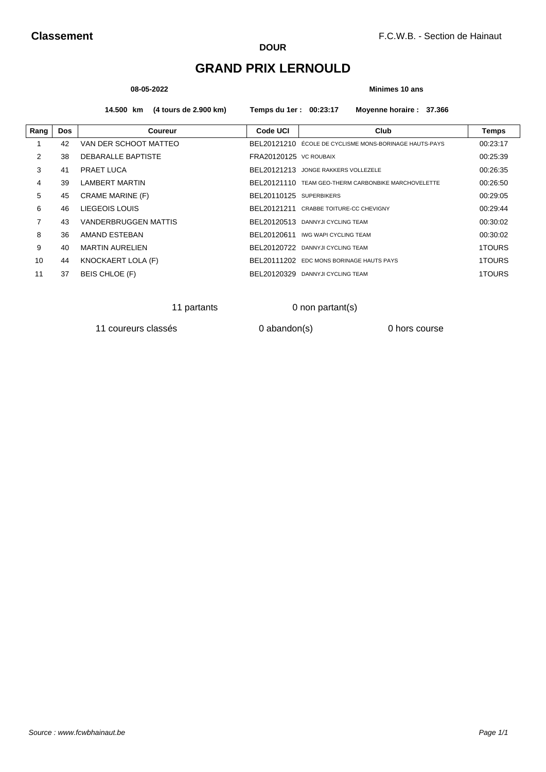# **GRAND PRIX LERNOULD**

#### **08-05-2022 Minimes 10 ans**

**14.500 km (4 tours de 2.900 km) Temps du 1er : 00:23:17 Moyenne horaire : 37.366**

| Rang | <b>Dos</b> | Coureur                   | Code UCI                | Club                                                 | Temps    |
|------|------------|---------------------------|-------------------------|------------------------------------------------------|----------|
|      | 42         | VAN DER SCHOOT MATTEO     | BEL20121210             | ÉCOLE DE CYCLISME MONS-BORINAGE HAUTS-PAYS           | 00:23:17 |
| 2    | 38         | <b>DEBARALLE BAPTISTE</b> | FRA20120125 VC ROUBAIX  |                                                      | 00:25:39 |
| 3    | 41         | PRAET LUCA                |                         | BEL20121213 JONGE RAKKERS VOLLEZELE                  | 00:26:35 |
| 4    | 39         | <b>LAMBERT MARTIN</b>     |                         | BFI 20121110 TEAM GEO-THERM CARBONBIKE MARCHOVELETTE | 00:26:50 |
| 5    | 45         | <b>CRAME MARINE (F)</b>   | BEL20110125 SUPERBIKERS |                                                      | 00:29:05 |
| 6    | 46         | LIEGEOIS LOUIS            |                         | BEL20121211 CRABBE TOITURE-CC CHEVIGNY               | 00:29:44 |
| 7    | 43         | VANDERBRUGGEN MATTIS      |                         | BEL20120513 DANNYJI CYCLING TEAM                     | 00:30:02 |
| 8    | 36         | AMAND ESTEBAN             |                         | BEL20120611 IWG WAPI CYCLING TEAM                    | 00:30:02 |
| 9    | 40         | <b>MARTIN AURELIEN</b>    |                         | BEL20120722 DANNYJI CYCLING TEAM                     | 1TOURS   |
| 10   | 44         | KNOCKAERT LOLA (F)        | BEL20111202             | EDC MONS BORINAGE HAUTS PAYS                         | 1TOURS   |
| 11   | 37         | BEIS CHLOE (F)            | BEL20120329             | DANNYJI CYCLING TEAM                                 | 1TOURS   |

11 partants 0 non partant(s)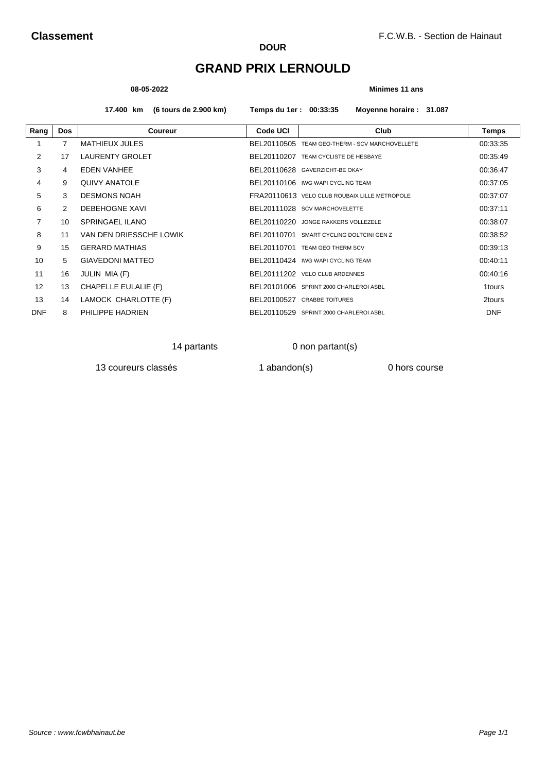# **GRAND PRIX LERNOULD**

#### **08-05-2022 Minimes 11 ans**

**17.400 km (6 tours de 2.900 km) Temps du 1er : 00:33:35 Moyenne horaire : 31.087**

| Rang           | <b>Dos</b>     | <b>Coureur</b>          | Code UCI    | Club                                          | Temps      |
|----------------|----------------|-------------------------|-------------|-----------------------------------------------|------------|
|                | $\overline{7}$ | <b>MATHIEUX JULES</b>   | BEL20110505 | TEAM GEO-THERM - SCV MARCHOVELLETE            | 00:33:35   |
| $\overline{2}$ | 17             | <b>LAURENTY GROLET</b>  | BEL20110207 | TEAM CYCLISTE DE HESBAYE                      | 00:35:49   |
| 3              | 4              | <b>EDEN VANHEE</b>      |             | BEL20110628 GAVERZICHT-BE OKAY                | 00:36:47   |
| 4              | 9              | <b>QUIVY ANATOLE</b>    |             | BEL20110106 IWG WAPI CYCLING TEAM             | 00:37:05   |
| 5              | 3              | <b>DESMONS NOAH</b>     |             | FRA20110613 VELO CLUB ROUBAIX LILLE METROPOLE | 00:37:07   |
| 6              | 2              | DEBEHOGNE XAVI          |             | BEL20111028 SCV MARCHOVELETTE                 | 00:37:11   |
| 7              | 10             | SPRINGAEL ILANO         |             | BEL20110220 JONGE RAKKERS VOLLEZELE           | 00:38:07   |
| 8              | 11             | VAN DEN DRIESSCHE LOWIK | BEL20110701 | SMART CYCLING DOLTCINI GEN Z                  | 00:38:52   |
| 9              | 15             | <b>GERARD MATHIAS</b>   |             | BEL20110701 TEAM GEO THERM SCV                | 00:39:13   |
| 10             | 5              | <b>GIAVEDONI MATTEO</b> |             | BEL20110424 IWG WAPI CYCLING TEAM             | 00:40:11   |
| 11             | 16             | JULIN MIA (F)           |             | BEL20111202 VELO CLUB ARDENNES                | 00:40:16   |
| 12             | 13             | CHAPELLE EULALIE (F)    |             | BEL20101006 SPRINT 2000 CHARLEROI ASBL        | 1tours     |
| 13             | 14             | LAMOCK CHARLOTTE (F)    |             | BEL20100527 CRABBE TOITURES                   | 2tours     |
| <b>DNF</b>     | 8              | PHILIPPE HADRIEN        |             | BEL20110529 SPRINT 2000 CHARLEROI ASBL        | <b>DNF</b> |

14 partants 0 non partant(s)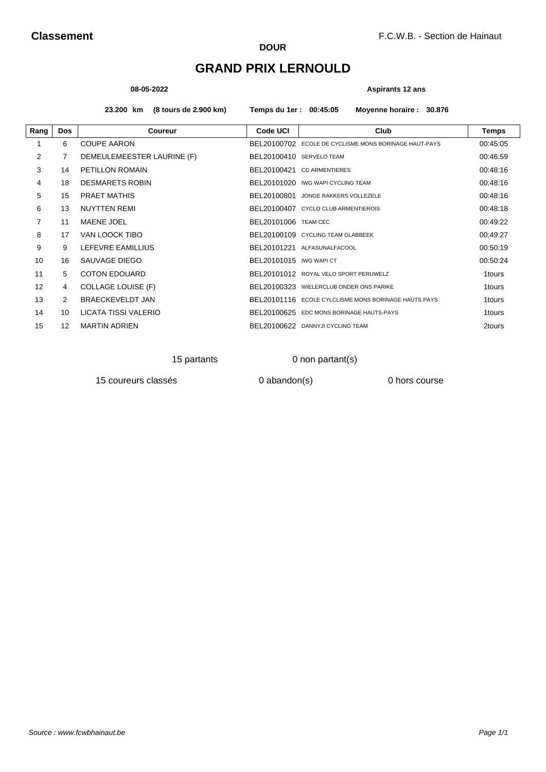# **GRAND PRIX LERNOULD**

#### **08-05-2022 Aspirants 12 ans**

**23.200 km (8 tours de 2.900 km) Temps du 1er : 00:45:05 Moyenne horaire : 30.876**

| Rang           | <b>Dos</b>    | <b>Coureur</b>             | Code UCI                    | Club                                                  | Temps    |
|----------------|---------------|----------------------------|-----------------------------|-------------------------------------------------------|----------|
|                | 6             | <b>COUPE AARON</b>         |                             | BEL20100702 ECOLE DE CYCLISME MONS BORINAGE HAUT-PAYS | 00:45:05 |
| 2              | 7             | DEMEULEMEESTER LAURINE (F) | BEL20100410 SERVELO TEAM    |                                                       | 00:46:59 |
| 3              | 14            | PETILLON ROMAIN            |                             | BEL20100421 CC ARMENTIERES                            | 00:48:16 |
| 4              | 18            | <b>DESMARETS ROBIN</b>     |                             | BEL20101020 IWG WAPI CYCLING TEAM                     | 00:48:16 |
| 5              | 15            | <b>PRAET MATHIS</b>        | BEL20100801                 | JONGE RAKKERS VOLLEZELE                               | 00:48:16 |
| 6              | 13            | <b>NUYTTEN REMI</b>        |                             | BEL20100407 CYCLO CLUB ARMENTIEROIS                   | 00:48:18 |
| $\overline{7}$ | 11            | <b>MAENE JOEL</b>          | <b>BEL20101006 TEAM CEC</b> |                                                       | 00:49:22 |
| 8              | 17            | VAN LOOCK TIBO             |                             | BEL20100109 CYCLING TEAM GLABBEEK                     | 00:49:27 |
| 9              | 9             | LEFEVRE EAMILLIUS          |                             | BEL20101221 ALFASUNALFACOOL                           | 00:50:19 |
| 10             | 16            | SAUVAGE DIEGO              | BEL20101015 IWG WAPICT      |                                                       | 00:50:24 |
| 11             | 5             | <b>COTON EDOUARD</b>       |                             | BEL20101012 ROYAL VELO SPORT PERUWELZ                 | 1tours   |
| 12             | 4             | <b>COLLAGE LOUISE (F)</b>  |                             | BEL20100323 WIELERCLUB ONDER ONS PARIKE               | 1tours   |
| 13             | $\mathcal{P}$ | BRAECKEVELDT JAN           |                             | BFI 20101116 ECOLE CYLCLISME MONS BORINAGE HAUTS PAYS | 1tours   |
| 14             | 10            | LICATA TISSI VALERIO       |                             | BEL20100625 EDC MONS BORINAGE HAUTS-PAYS              | 1tours   |
| 15             | 12            | <b>MARTIN ADRIEN</b>       |                             | BEL20100622 DANNYJI CYCLING TEAM                      | 2tours   |
|                |               |                            |                             |                                                       |          |

## 15 partants 0 non partant(s)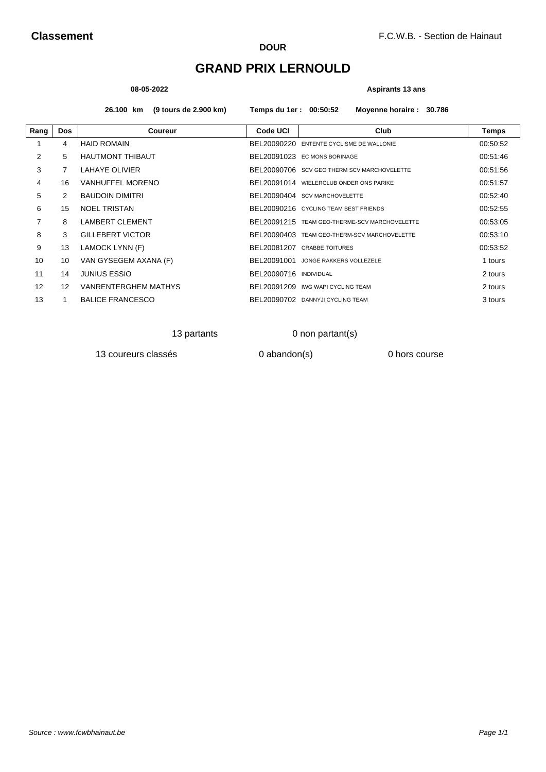# **GRAND PRIX LERNOULD**

#### **08-05-2022 Aspirants 13 ans**

**26.100 km (9 tours de 2.900 km) Temps du 1er : 00:50:52 Moyenne horaire : 30.786**

| Rang | <b>Dos</b>        | Coureur                     | <b>Code UCI</b> | Club                                          | Temps    |
|------|-------------------|-----------------------------|-----------------|-----------------------------------------------|----------|
|      | 4                 | <b>HAID ROMAIN</b>          |                 | BEL20090220 ENTENTE CYCLISME DE WALLONIE      | 00:50:52 |
| 2    | 5                 | <b>HAUTMONT THIBAUT</b>     |                 | BEL20091023 EC MONS BORINAGE                  | 00:51:46 |
| 3    | 7                 | <b>LAHAYE OLIVIER</b>       |                 | BEL20090706 SCV GEO THERM SCV MARCHOVELETTE   | 00:51:56 |
| 4    | 16                | <b>VANHUFFEL MORENO</b>     |                 | BEL20091014 WIELERCLUB ONDER ONS PARIKE       | 00:51:57 |
| 5    | 2                 | <b>BAUDOIN DIMITRI</b>      |                 | BEL20090404 SCV MARCHOVELETTE                 | 00:52:40 |
| 6    | 15                | <b>NOEL TRISTAN</b>         |                 | BEL20090216 CYCLING TEAM BEST FRIENDS         | 00:52:55 |
| 7    | 8                 | <b>LAMBERT CLEMENT</b>      |                 | BEL20091215 TEAM GEO-THERME-SCV MARCHOVELETTE | 00:53:05 |
| 8    | 3                 | <b>GILLEBERT VICTOR</b>     |                 | BEL20090403 TEAM GEO-THERM-SCV MARCHOVELETTE  | 00:53:10 |
| 9    | 13                | LAMOCK LYNN (F)             |                 | BEL20081207 CRABBE TOITURES                   | 00:53:52 |
| 10   | 10                | VAN GYSEGEM AXANA (F)       | BEL20091001     | JONGE RAKKERS VOLLEZELE                       | 1 tours  |
| 11   | 14                | <b>JUNIUS ESSIO</b>         | BEL20090716     | <b>INDIVIDUAL</b>                             | 2 tours  |
| 12   | $12 \overline{ }$ | <b>VANRENTERGHEM MATHYS</b> |                 | BEL20091209 IWG WAPI CYCLING TEAM             | 2 tours  |
| 13   |                   | <b>BALICE FRANCESCO</b>     |                 | BEL20090702 DANNYJI CYCLING TEAM              | 3 tours  |

13 partants 0 non partant(s)